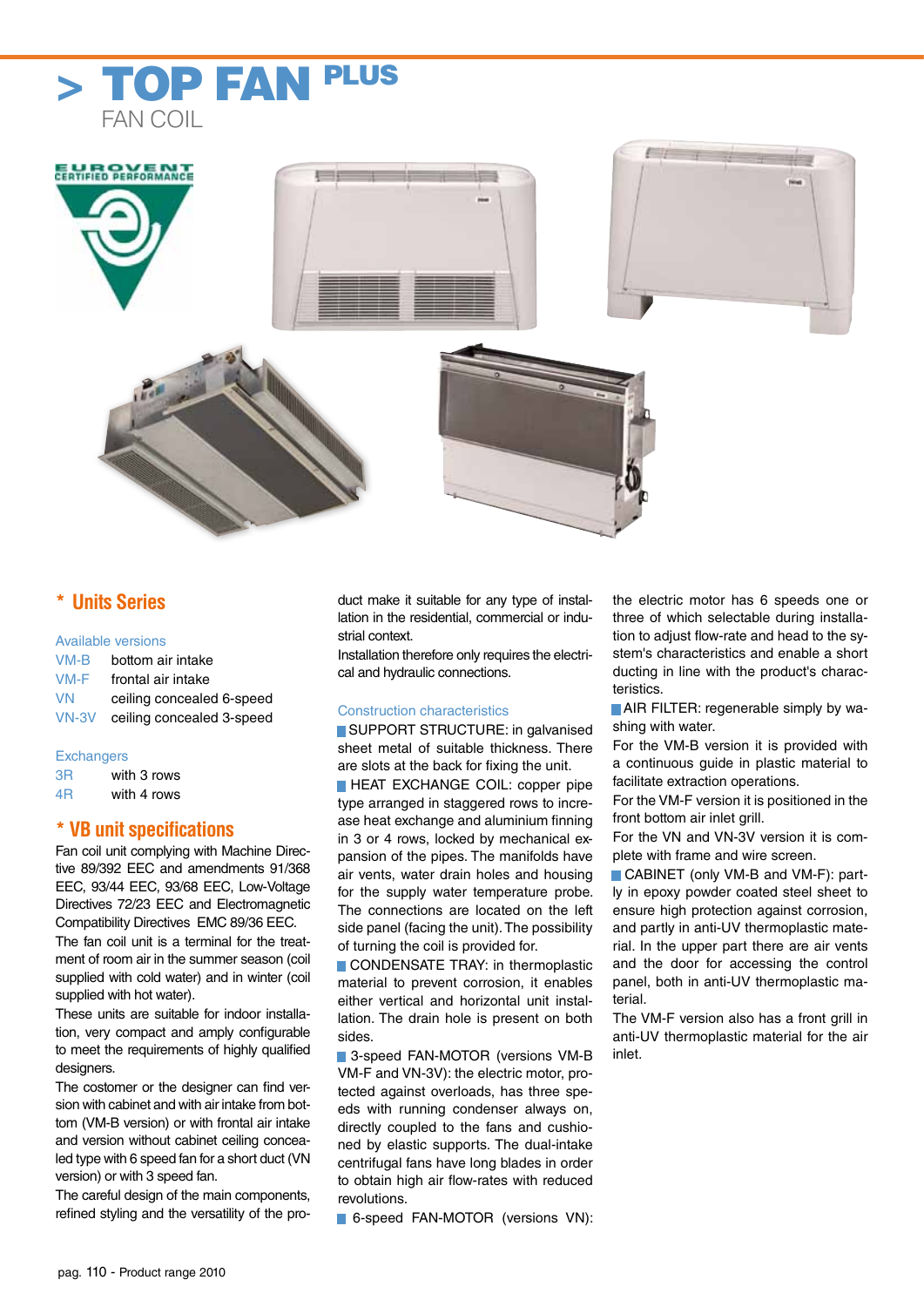



# **\* Units Series**

#### Available versions

| $VM-B$    | bottom air intake         |
|-----------|---------------------------|
| VM-F      | frontal air intake        |
| <b>VN</b> | ceiling concealed 6-speed |
| $VN-3V$   | ceiling concealed 3-speed |

## **Exchangers**

| 3R | with 3 rows |
|----|-------------|
| 4Β | with 4 rows |

# **\* VB unit specifications**

Fan coil unit complying with Machine Directive 89/392 EEC and amendments 91/368 EEC, 93/44 EEC, 93/68 EEC, Low-Voltage Directives 72/23 EEC and Electromagnetic Compatibility Directives EMC 89/36 EEC. The fan coil unit is a terminal for the treatment of room air in the summer season (coil supplied with cold water) and in winter (coil supplied with hot water).

These units are suitable for indoor installation, very compact and amply configurable to meet the requirements of highly qualified designers

The costomer or the designer can find version with cabinet and with air intake from bottom (VM-B version) or with frontal air intake and version without cabinet ceiling concealed type with 6 speed fan for a short duct (VN version) or with 3 speed fan.

The careful design of the main components, refined styling and the versatility of the product make it suitable for any type of installation in the residential, commercial or industrial context.

Installation therefore only requires the electrical and hydraulic connections.

## Construction characteristics

■ SUPPORT STRUCTURE: in galvanised sheet metal of suitable thickness. There are slots at the back for fixing the unit.

**EXCHANGE COIL: copper pipe** type arranged in staggered rows to increase heat exchange and aluminium finning in 3 or 4 rows, locked by mechanical expansion of the pipes. The manifolds have air vents, water drain holes and housing for the supply water temperature probe. The connections are located on the left side panel (facing the unit). The possibility of turning the coil is provided for.

■ CONDENSATE TRAY: in thermoplastic material to prevent corrosion, it enables either vertical and horizontal unit installation. The drain hole is present on both sides.

■ 3-speed FAN-MOTOR (versions VM-B VM-F and VN-3V): the electric motor, protected against overloads, has three speeds with running condenser always on, directly coupled to the fans and cushioned by elastic supports. The dual-intake centrifugal fans have long blades in order to obtain high air flow-rates with reduced revolutions.

■ 6-speed FAN-MOTOR (versions VN):

the electric motor has 6 speeds one or three of which selectable during installation to adjust flow-rate and head to the system's characteristics and enable a short ducting in line with the product's characteristics.

■ AIR FILTER: regenerable simply by washing with water.

For the VM-B version it is provided with a continuous guide in plastic material to facilitate extraction operations.

For the VM-F version it is positioned in the front bottom air inlet grill.

For the VN and VN-3V version it is complete with frame and wire screen.

■ CABINET (only VM-B and VM-F): partly in epoxy powder coated steel sheet to ensure high protection against corrosion, and partly in anti-UV thermoplastic material. In the upper part there are air vents and the door for accessing the control panel, both in anti-UV thermoplastic material.

The VM-F version also has a front grill in anti-UV thermoplastic material for the air inlet.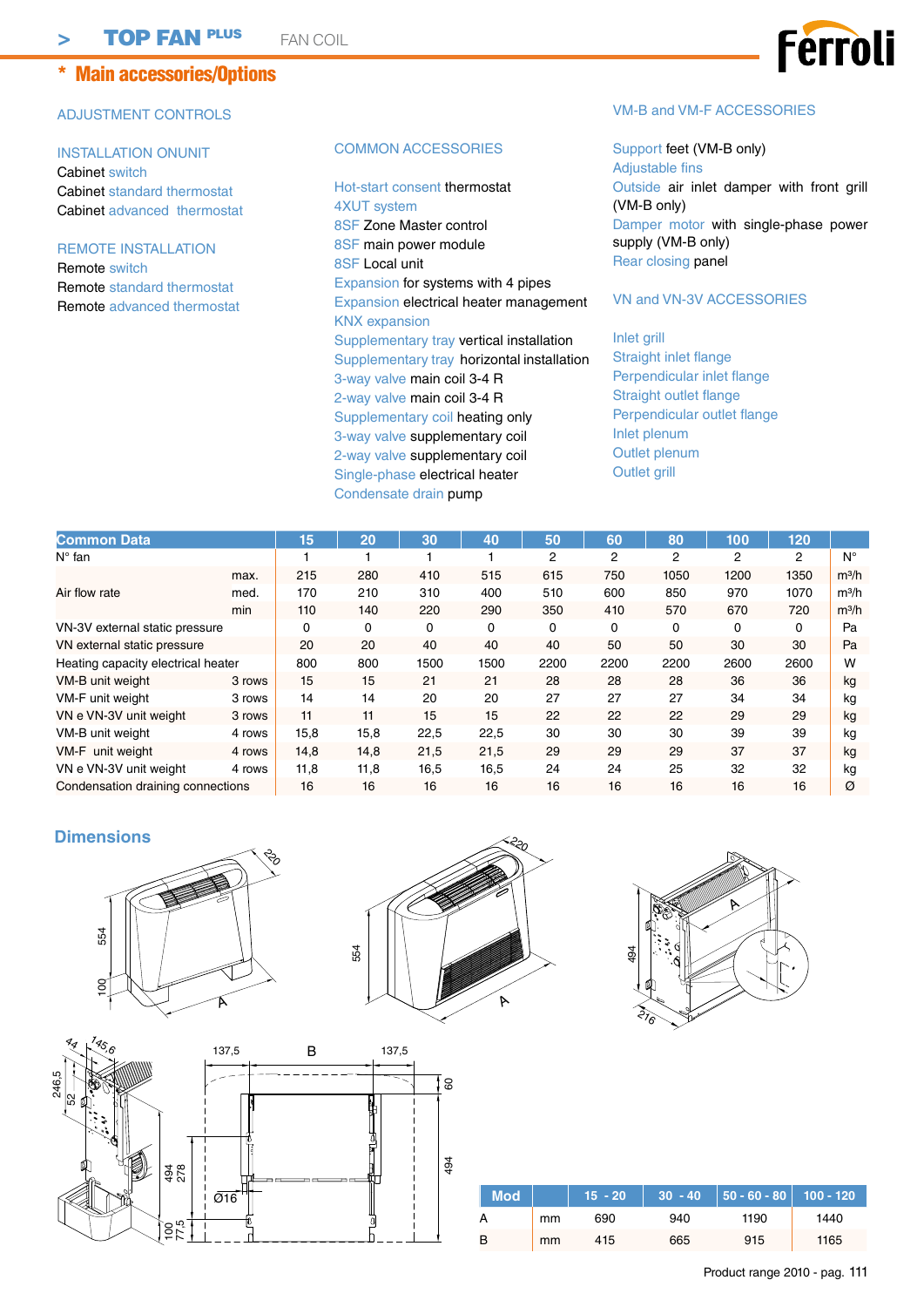# \* Main accessories/Options

# ADJUSTMENT CONTROLS

INSTALLATION ONUNIT Cabinet switch Cabinet standard thermostat Cabinet advanced thermostat

REMOTE INSTALLATION Remote switch Remote standard thermostat Remote advanced thermostat

#### COMMON ACCESSORIES

Hot-start consent thermostat 4XUT system 8SF Zone Master control 8SF main power module 8SF Local unit Expansion for systems with 4 pipes Expansion electrical heater management KNX expansion Supplementary tray vertical installation Supplementary tray horizontal installation 3-way valve main coil 3-4 R 2-way valve main coil 3-4 R Supplementary coil heating only 3-way valve supplementary coil 2-way valve supplementary coil Single-phase electrical heater Condensate drain pump

## VM-B and VM-F ACCESSORIES

Support feet (VM-B only) Adjustable fins Outside air inlet damper with front grill (VM-B only) Damper motor with single-phase power supply (VM-B only) Rear closing panel

## VN and VN-3V ACCESSORIES

Inlet grill Straight inlet flange Perpendicular inlet flange Straight outlet flange Perpendicular outlet flange Inlet plenum Outlet plenum Outlet grill

| <b>Common Data</b>                 |        | 15   | 20   | 30   | 40   | 50   | 60   | 80   | 100  | 120  |         |
|------------------------------------|--------|------|------|------|------|------|------|------|------|------|---------|
| $N^{\circ}$ fan                    |        |      |      |      |      | 2    | 2    | 2    | 2    | 2    | Ν°      |
|                                    | max.   | 215  | 280  | 410  | 515  | 615  | 750  | 1050 | 1200 | 1350 | $m^3/h$ |
| Air flow rate                      | med.   | 170  | 210  | 310  | 400  | 510  | 600  | 850  | 970  | 1070 | $m^3/h$ |
|                                    | min    | 110  | 140  | 220  | 290  | 350  | 410  | 570  | 670  | 720  | $m^3/h$ |
| VN-3V external static pressure     |        | 0    | 0    | 0    | 0    | 0    | 0    | 0    | 0    | 0    | Pa      |
| VN external static pressure        |        | 20   | 20   | 40   | 40   | 40   | 50   | 50   | 30   | 30   | Pa      |
| Heating capacity electrical heater |        | 800  | 800  | 1500 | 1500 | 2200 | 2200 | 2200 | 2600 | 2600 | W       |
| VM-B unit weight                   | 3 rows | 15   | 15   | 21   | 21   | 28   | 28   | 28   | 36   | 36   | kg      |
| VM-F unit weight                   | 3 rows | 14   | 14   | 20   | 20   | 27   | 27   | 27   | 34   | 34   | kg      |
| VN e VN-3V unit weight             | 3 rows | 11   | 11   | 15   | 15   | 22   | 22   | 22   | 29   | 29   | kg      |
| VM-B unit weight                   | 4 rows | 15,8 | 15,8 | 22,5 | 22,5 | 30   | 30   | 30   | 39   | 39   | kg      |
| VM-F unit weight                   | 4 rows | 14,8 | 14,8 | 21,5 | 21,5 | 29   | 29   | 29   | 37   | 37   | kg      |
| VN e VN-3V unit weight             | 4 rows | 11,8 | 11,8 | 16,5 | 16,5 | 24   | 24   | 25   | 32   | 32   | kg      |
| Condensation draining connections  |        | 16   | 16   | 16   | 16   | 16   | 16   | 16   | 16   | 16   | Ø       |

## **Dimensions**







| $\frac{7}{3}$<br>4q | 137,5                       | в           | 137,5  |     |
|---------------------|-----------------------------|-------------|--------|-----|
| $\frac{246,5}{52}$  |                             |             |        | 60  |
| r.                  |                             |             | H      |     |
|                     |                             |             | е<br>ħ |     |
| 494<br>278          | I<br>ı                      | E<br>□<br>- |        | 494 |
|                     | $\overline{\varnothing}$ 16 |             |        |     |
| 100<br>7,5          |                             |             |        |     |

| Mod \ |    | $15 - 20$ |     | ,│ 30 -40  │50 - 60 - 80│ 100 - 120 <i>ˈ</i> |      |
|-------|----|-----------|-----|----------------------------------------------|------|
| A     | mm | 690       | 940 | 1190                                         | 1440 |
| B     | mm | 415       | 665 | 915                                          | 1165 |

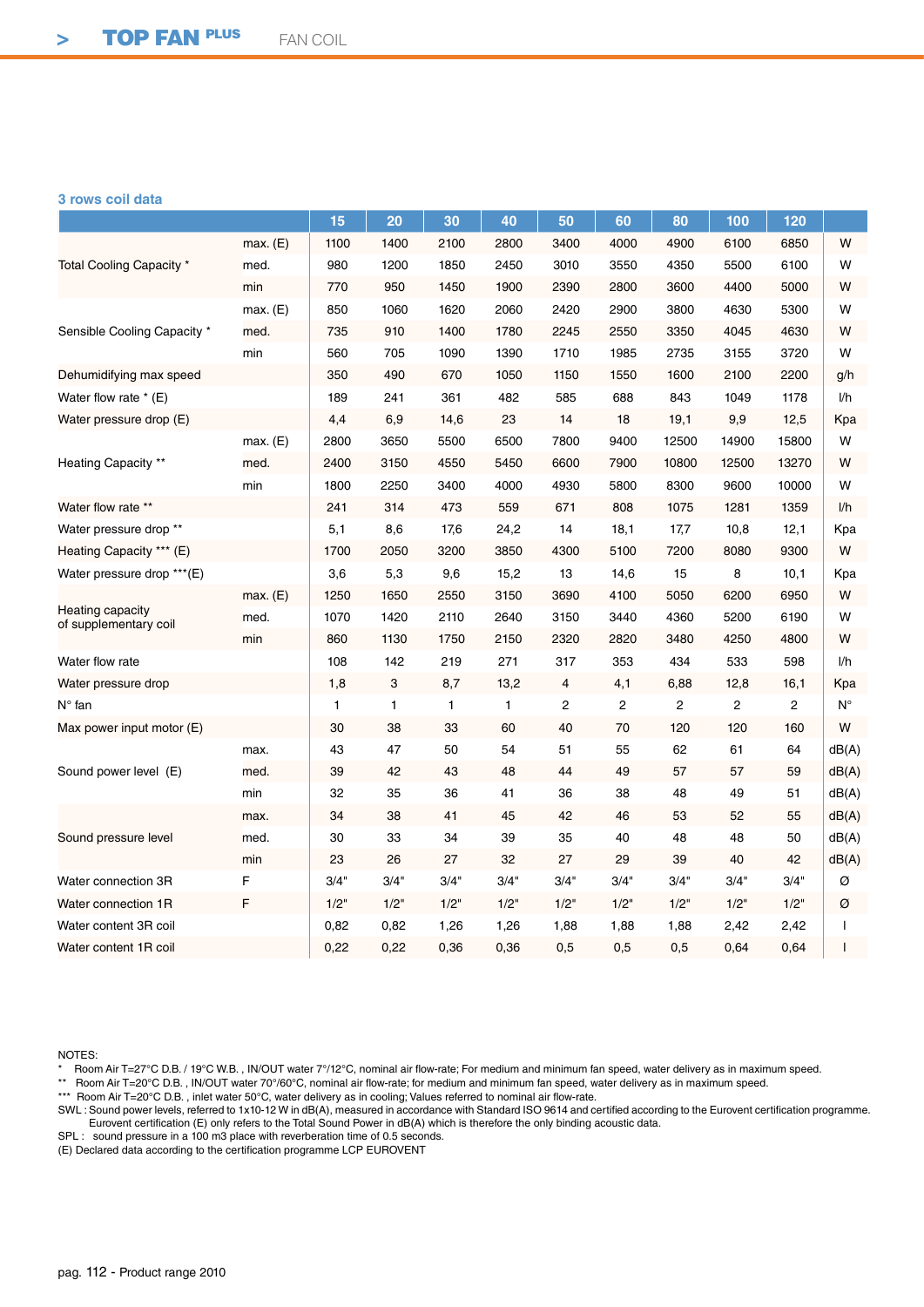## **3 rows coil data**

|                                           |          | 15           | 20   | 30   | 40           | 50           | 60             | 80             | 100   | 120   |             |
|-------------------------------------------|----------|--------------|------|------|--------------|--------------|----------------|----------------|-------|-------|-------------|
| Total Cooling Capacity *                  | max. (E) | 1100         | 1400 | 2100 | 2800         | 3400         | 4000           | 4900           | 6100  | 6850  | W           |
|                                           | med.     | 980          | 1200 | 1850 | 2450         | 3010         | 3550           | 4350           | 5500  | 6100  | W           |
|                                           | min      | 770          | 950  | 1450 | 1900         | 2390         | 2800           | 3600           | 4400  | 5000  | W           |
|                                           | max. (E) | 850          | 1060 | 1620 | 2060         | 2420         | 2900           | 3800           | 4630  | 5300  | W           |
| Sensible Cooling Capacity *               | med.     | 735          | 910  | 1400 | 1780         | 2245         | 2550           | 3350           | 4045  | 4630  | W           |
|                                           | min      | 560          | 705  | 1090 | 1390         | 1710         | 1985           | 2735           | 3155  | 3720  | W           |
| Dehumidifying max speed                   |          | 350          | 490  | 670  | 1050         | 1150         | 1550           | 1600           | 2100  | 2200  | g/h         |
| Water flow rate $*(E)$                    |          | 189          | 241  | 361  | 482          | 585          | 688            | 843            | 1049  | 1178  | l/h         |
| Water pressure drop (E)                   |          | 4,4          | 6,9  | 14,6 | 23           | 14           | 18             | 19,1           | 9,9   | 12,5  | Kpa         |
|                                           | max. (E) | 2800         | 3650 | 5500 | 6500         | 7800         | 9400           | 12500          | 14900 | 15800 | W           |
| <b>Heating Capacity **</b>                | med.     | 2400         | 3150 | 4550 | 5450         | 6600         | 7900           | 10800          | 12500 | 13270 | W           |
|                                           | min      | 1800         | 2250 | 3400 | 4000         | 4930         | 5800           | 8300           | 9600  | 10000 | W           |
| Water flow rate **                        |          | 241          | 314  | 473  | 559          | 671          | 808            | 1075           | 1281  | 1359  | 1/h         |
| Water pressure drop **                    |          | 5,1          | 8,6  | 17,6 | 24,2         | 14           | 18,1           | 17,7           | 10,8  | 12,1  | Kpa         |
| Heating Capacity *** (E)                  |          | 1700         | 2050 | 3200 | 3850         | 4300         | 5100           | 7200           | 8080  | 9300  | W           |
| Water pressure drop *** (E)               |          | 3,6          | 5,3  | 9,6  | 15,2         | 13           | 14,6           | 15             | 8     | 10,1  | Kpa         |
|                                           | max. (E) | 1250         | 1650 | 2550 | 3150         | 3690         | 4100           | 5050           | 6200  | 6950  | W           |
| Heating capacity<br>of supplementary coil | med.     | 1070         | 1420 | 2110 | 2640         | 3150         | 3440           | 4360           | 5200  | 6190  | W           |
|                                           | min      | 860          | 1130 | 1750 | 2150         | 2320         | 2820           | 3480           | 4250  | 4800  | W           |
| Water flow rate                           |          | 108          | 142  | 219  | 271          | 317          | 353            | 434            | 533   | 598   | 1/h         |
| Water pressure drop                       |          | 1,8          | 3    | 8,7  | 13,2         | 4            | 4,1            | 6,88           | 12,8  | 16,1  | Kpa         |
| $N^{\circ}$ fan                           |          | $\mathbf{1}$ | 1    | 1    | $\mathbf{1}$ | $\mathbf{2}$ | $\overline{c}$ | $\overline{c}$ | 2     | 2     | $N^{\circ}$ |
| Max power input motor $(E)$               |          | 30           | 38   | 33   | 60           | 40           | 70             | 120            | 120   | 160   | W           |
|                                           | max.     | 43           | 47   | 50   | 54           | 51           | 55             | 62             | 61    | 64    | dB(A)       |
| Sound power level (E)                     | med.     | 39           | 42   | 43   | 48           | 44           | 49             | 57             | 57    | 59    | dB(A)       |
|                                           | min      | 32           | 35   | 36   | 41           | 36           | 38             | 48             | 49    | 51    | dB(A)       |
|                                           | max.     | 34           | 38   | 41   | 45           | 42           | 46             | 53             | 52    | 55    | dB(A)       |
| Sound pressure level                      | med.     | 30           | 33   | 34   | 39           | 35           | 40             | 48             | 48    | 50    | dB(A)       |
|                                           | min      | 23           | 26   | 27   | 32           | 27           | 29             | 39             | 40    | 42    | dB(A)       |
| Water connection 3R                       | F        | 3/4"         | 3/4" | 3/4" | 3/4"         | 3/4"         | 3/4"           | 3/4"           | 3/4"  | 3/4"  | Ø           |
| Water connection 1R                       | F        | 1/2"         | 1/2" | 1/2" | 1/2"         | 1/2"         | 1/2"           | 1/2"           | 1/2"  | 1/2"  | Ø           |
| Water content 3R coil                     |          | 0,82         | 0,82 | 1,26 | 1,26         | 1,88         | 1,88           | 1,88           | 2,42  | 2,42  |             |
| Water content 1R coil                     |          | 0,22         | 0,22 | 0,36 | 0,36         | 0,5          | 0,5            | 0,5            | 0,64  | 0,64  |             |

NOTES:

\* Room Air T=27°C D.B. / 19°C W.B. , IN/OUT water 7°/12°C, nominal air flow-rate; For medium and minimum fan speed, water delivery as in maximum speed.

\*\* Room Air T=20°C D.B. , IN/OUT water 70°/60°C, nominal air flow-rate; for medium and minimum fan speed, water delivery as in maximum speed.

\*\*\* Room Air T=20°C D.B., inlet water 50°C, water delivery as in cooling; Values referred to nominal air flow-rate.

SWL : Sound power levels, referred to 1x10-12 W in dB(A), measured in accordance with Standard ISO 9614 and certified according to the Eurovent certification programme. Eurovent certification (E) only refers to the Total Sound Power in dB(A) which is therefore the only binding acoustic data.

SPL : sound pressure in a 100 m3 place with reverberation time of 0.5 seconds.

(E) Declared data according to the certification programme LCP EUROVENT